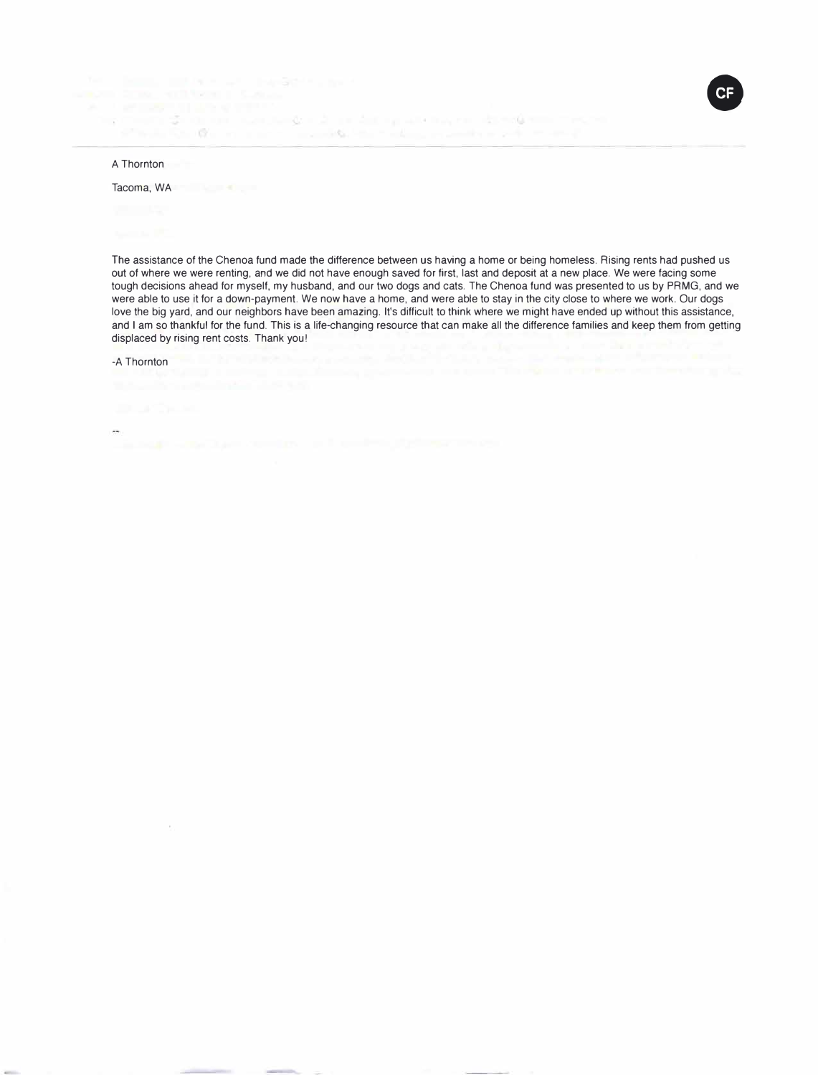ter – James Granden, amerikansk forskelliger<br>1980 – Franz Statistiker (\* 1980)<br>1980 – Franz Statistiker, skrivatsk forsk politiker (\* 1980) stands for the art and the constitution of the construction of the stand

## A Thornton

## Tacoma, WA

The assistance of the Chenoa fund made the difference between us having a home or being homeless. Rising rents had pushed us out of where we were renting, and we did not have enough saved for first, last and deposit at a new place. We were facing some tough decisions ahead for myself, my husband, and our two dogs and cats. The Chenoa fund was presented to us by PRMG, and we were able to use it for a down-payment. We now have a home, and were able to stay in the city close to where we work. Our dogs love the big yard, and our neighbors have been amazing. It's difficult to think where we might have ended up without this assistance, and I am so thankful for the fund. This is a life-changing resource that can make all the difference families and keep them from getting displaced by rising rent costs. Thank you!

CF

-A Thornton

 $\sim$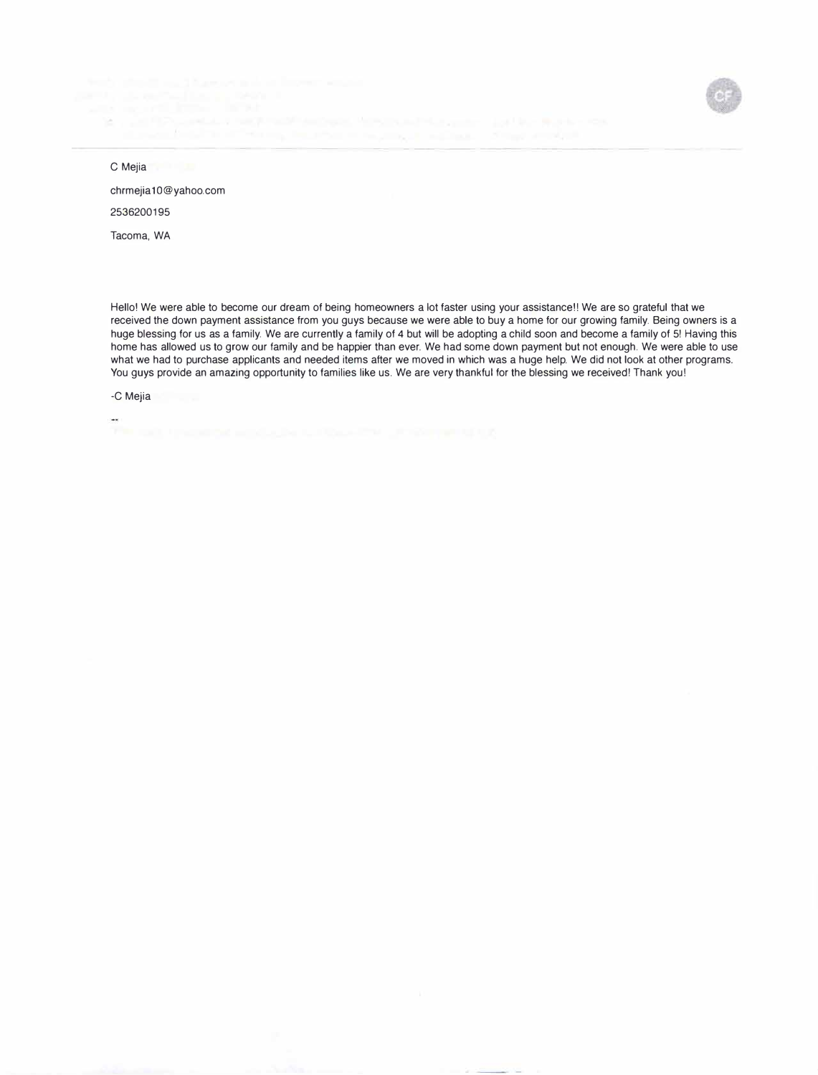SET OF REPORTED HERE



C Mejia

chrmejia 10@yahoo.com 2536200195

Tacoma, WA

Hello! We were able to become our dream of being homeowners a lot faster using your assistance!! We are so grateful that we received the down payment assistance from you guys because we were able to buy a home for our growing family. Being owners is a huge blessing for us as a family. We are currently a family of 4 but will be adopting a child soon and become a family of 5! Having this home has allowed us to grow our family and be happier than ever. We had some down payment but not enough. We were able to use what we had to purchase applicants and needed items after we moved in which was a huge help. We did not look at other programs. You guys provide an amazing opportunity to families like us. We are very thankful for the blessing we received! Thank you!

-C Mejia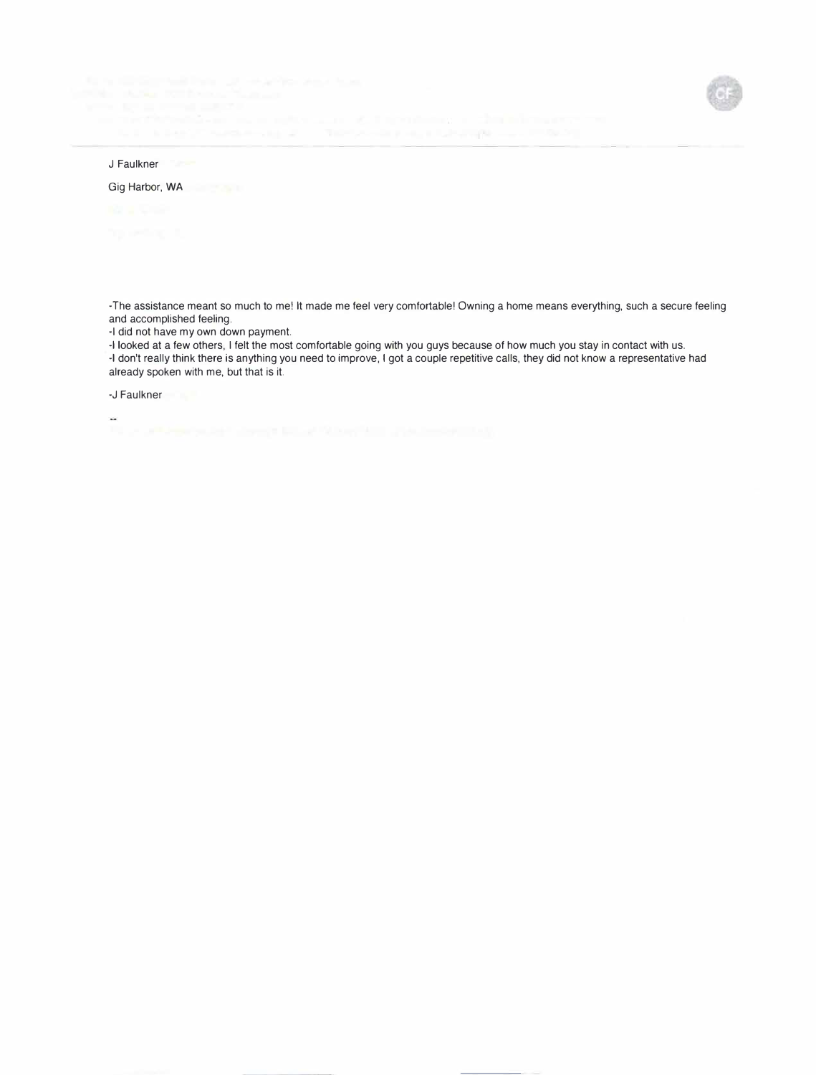

# J Faulkner

Gig Harbor, WA

-The assistance meant so much to me! It made me feel very comfortable! Owning a home means everything, such a secure feeling and accomplished feeling.

-I did not have my own down payment.

-I looked at a few others, I felt the most comfortable going with you guys because of how much you stay in contact with us. -I don't really think there is anything you need to improve, I got a couple repetitive calls, they did not know a representative had already spoken with me, but that is it.

-J Faulkner

цù.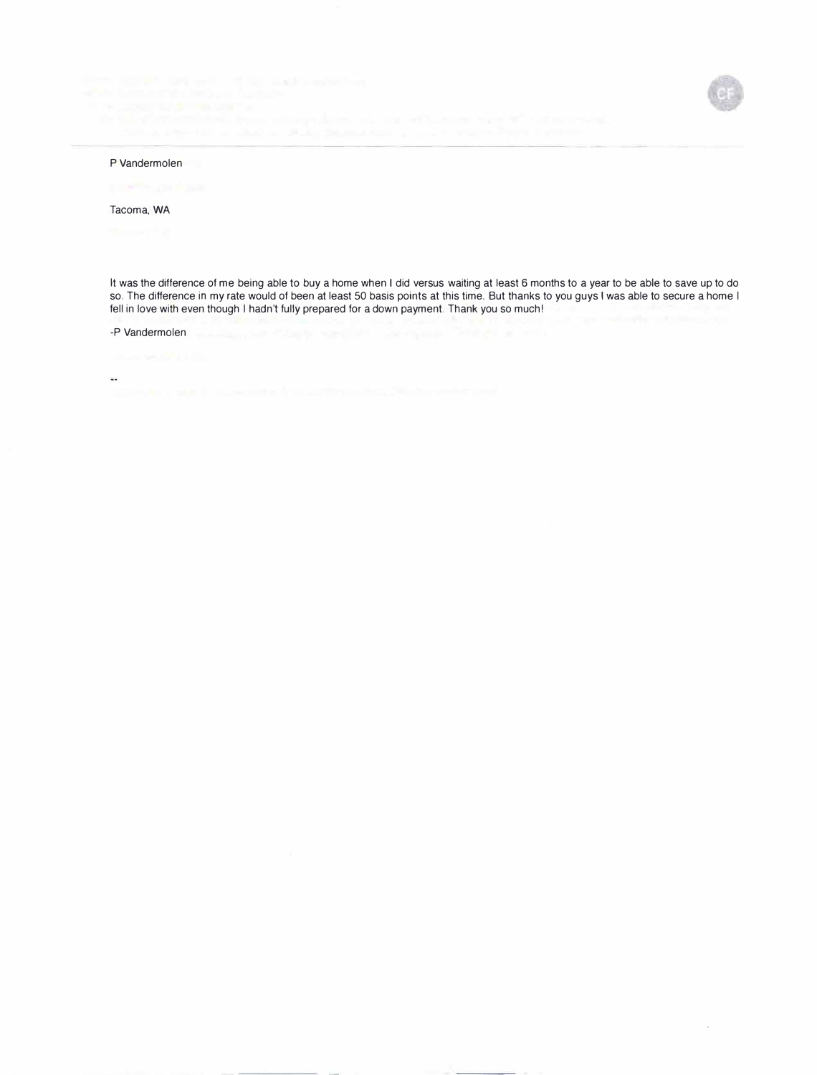

 $V_{\rm eff}$ 

#### P Vandermolen

### Tacoma, WA

It was the difference of me being able to buy a home when I did versus waiting at least 6 months to a year to be able to save up to do so. The difference in my rate would of been at least 50 basis points at this time. But thanks to you guys I was able to secure a home I fell in love with even though I hadn't fully prepared for a down payment. Thank you so much!

### -P Vandermolen

 $\mathcal{L}_{\mathcal{A}}$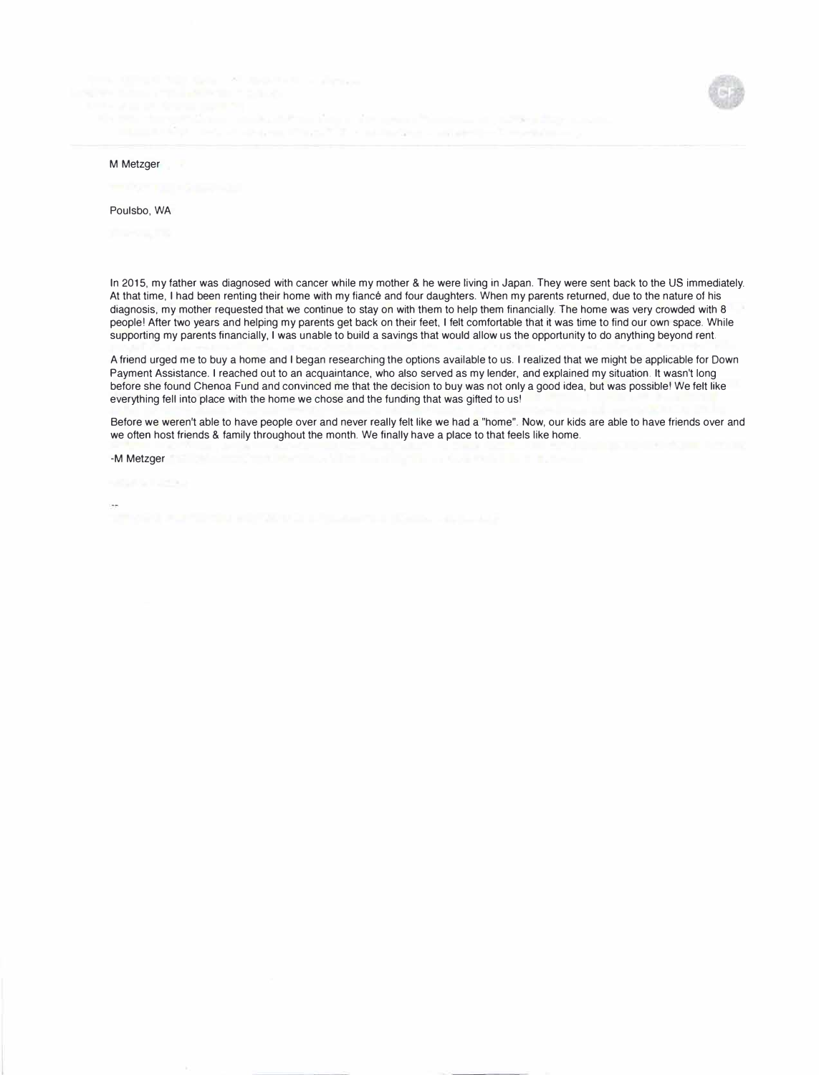

#### M Metzger

#### Poulsbo, WA

In 2015, my father was diagnosed with cancer while my mother & he were living in Japan. They were sent back to the US immediately. At that time, I had been renting their home with my fiance and four daughters. When my parents returned, due to the nature of his diagnosis, my mother requested that we continue to stay on with them to help them financially. The home was very crowded with 8 people! After two years and helping my parents get back on their feet, I felt comfortable that it was time to find our own space. While supporting my parents financially, I was unable to build a savings that would allow us the opportunity to do anything beyond rent.

A friend urged me to buy a home and I began researching the options available to us. I realized that we might be applicable for Down Payment Assistance. I reached out to an acquaintance, who also served as my lender, and explained my situation. It wasn't long before she found Chenoa Fund and convinced me that the decision to buy was not only a good idea, but was possible! We felt like everything fell into place with the home we chose and the funding that was gifted to us!

Before we weren't able to have people over and never really felt like we had a "home". Now, our kids are able to have friends over and we often host friends & family throughout the month. We finally have a place to that feels like home.

-M Metzger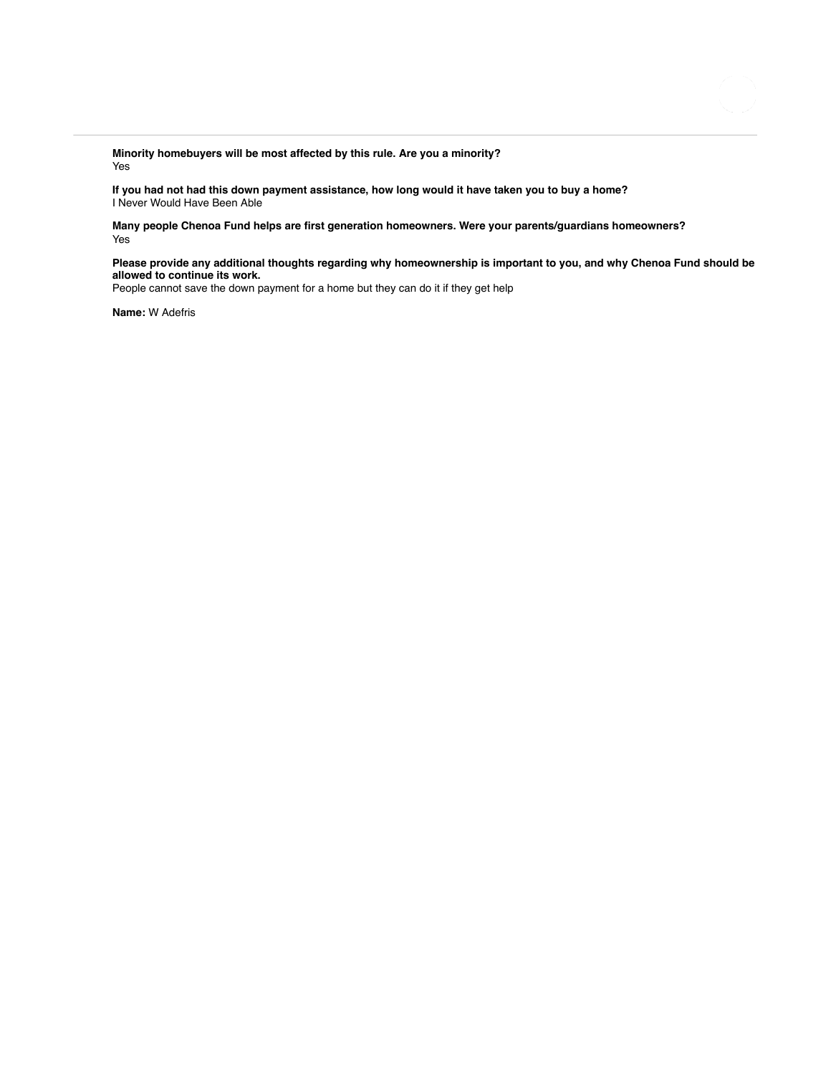**Minority homebuyers will be most affected by this rule. Are you a minority?** Yes

**If you had not had this down payment assistance, how long would it have taken you to buy a home?** I Never Would Have Been Able

**Many people Chenoa Fund helps are first generation homeowners. Were your parents/guardians homeowners?** Yes

**Please provide any additional thoughts regarding why homeownership is important to you, and why Chenoa Fund should be allowed to continue its work.**

People cannot save the down payment for a home but they can do it if they get help

**Name:** W Adefris